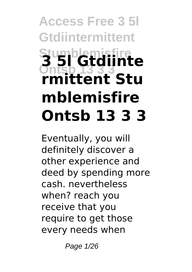# **Access Free 3 5l Gtdiintermittent Stumblemisfire Ontsb 13 3 3 3 5l Gtdiinte rmittent Stu mblemisfire Ontsb 13 3 3**

Eventually, you will definitely discover a other experience and deed by spending more cash. nevertheless when? reach you receive that you require to get those every needs when

Page 1/26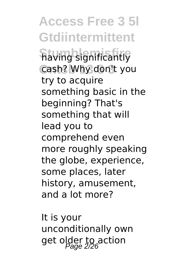**Access Free 3 5l Gtdiintermittent having significantly** cash? Why don't you try to acquire something basic in the beginning? That's something that will lead you to comprehend even more roughly speaking the globe, experience, some places, later history, amusement, and a lot more?

It is your unconditionally own get older to action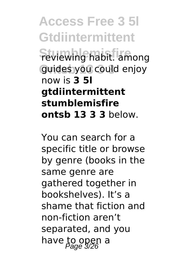**Access Free 3 5l Gtdiintermittent Feviewing habit.** among **Ontsb 13 3 3** guides you could enjoy now is **3 5l gtdiintermittent stumblemisfire ontsb 13 3 3** below.

You can search for a specific title or browse by genre (books in the same genre are gathered together in bookshelves). It's a shame that fiction and non-fiction aren't separated, and you have to open a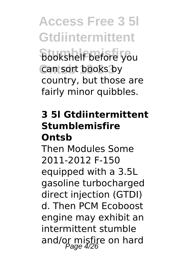**Access Free 3 5l Gtdiintermittent Bookshelf before you** can sort books by country, but those are fairly minor quibbles.

### **3 5l Gtdiintermittent Stumblemisfire Ontsb**

Then Modules Some 2011-2012 F-150 equipped with a 3.5L gasoline turbocharged direct injection (GTDI) d. Then PCM Ecoboost engine may exhibit an intermittent stumble and/or misfire on hard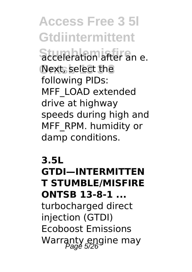**Access Free 3 5l Gtdiintermittent** Stumblem after an e. Next, select the following PIDs: MFF\_LOAD extended drive at highway speeds during high and MFF\_RPM. humidity or damp conditions.

**3.5L GTDI—INTERMITTEN T STUMBLE/MISFIRE ONTSB 13-8-1 ...** turbocharged direct injection (GTDI) Ecoboost Emissions Warranty engine may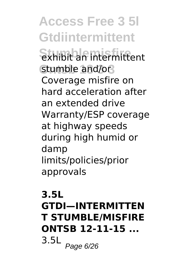**Access Free 3 5l Gtdiintermittent Stumblemisfire** exhibit an intermittent stumble and/or Coverage misfire on hard acceleration after an extended drive Warranty/ESP coverage at highway speeds during high humid or damp limits/policies/prior approvals

# **3.5L GTDI—INTERMITTEN T STUMBLE/MISFIRE ONTSB 12-11-15 ...**  $3.5L$  Page 6/26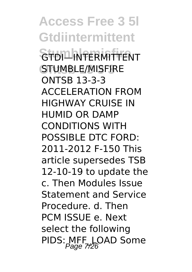**Access Free 3 5l Gtdiintermittent** STDI<sup>I</sup>NTERMITTENT STUMBLE/MISFIRE ONTSB 13-3-3 ACCELERATION FROM HIGHWAY CRUISE IN HUMID OR DAMP CONDITIONS WITH POSSIBLE DTC FORD: 2011-2012 F-150 This article supersedes TSB 12-10-19 to update the c. Then Modules Issue Statement and Service Procedure. d. Then PCM ISSUE e. Next select the following PIDS: MFF\_LOAD Some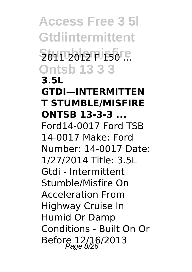**Access Free 3 5l Gtdiintermittent Stumblemisfire** 2011-2012 F-150 ... **Ontsb 13 3 3 3.5L GTDI—INTERMITTEN T STUMBLE/MISFIRE ONTSB 13-3-3 ...** Ford14-0017 Ford TSB 14-0017 Make: Ford Number: 14-0017 Date: 1/27/2014 Title: 3.5L Gtdi - Intermittent Stumble/Misfire On Acceleration From Highway Cruise In Humid Or Damp Conditions - Built On Or Before 12/16/2013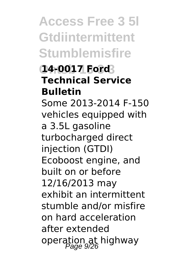**Access Free 3 5l Gtdiintermittent Stumblemisfire**

### **Ontsb 13 3 3 14-0017 Ford Technical Service Bulletin**

Some 2013-2014 F-150 vehicles equipped with a 3.5L gasoline turbocharged direct injection (GTDI) Ecoboost engine, and built on or before 12/16/2013 may exhibit an intermittent stumble and/or misfire on hard acceleration after extended operation at highway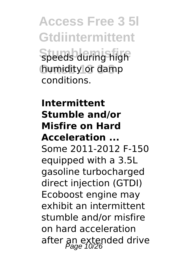**Access Free 3 5l Gtdiintermittent Speeds during high** humidity or damp conditions.

### **Intermittent Stumble and/or Misfire on Hard Acceleration ...** Some 2011-2012 F-150 equipped with a 3.5L gasoline turbocharged direct injection (GTDI) Ecoboost engine may exhibit an intermittent stumble and/or misfire on hard acceleration after an extended drive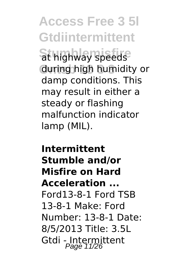**Access Free 3 5l Gtdiintermittent St highway speeds** during high humidity or damp conditions. This may result in either a steady or flashing malfunction indicator lamp (MIL).

**Intermittent Stumble and/or Misfire on Hard Acceleration ...** Ford13-8-1 Ford TSB 13-8-1 Make: Ford Number: 13-8-1 Date: 8/5/2013 Title: 3.5L Gtdi - Intermittent<br>Page 11/26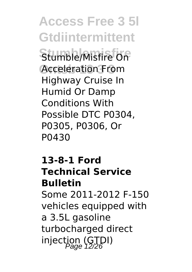**Access Free 3 5l Gtdiintermittent** Stumble/Misfire On Acceleration From Highway Cruise In Humid Or Damp Conditions With Possible DTC P0304, P0305, P0306, Or P0430

#### **13-8-1 Ford Technical Service Bulletin**

Some 2011-2012 F-150 vehicles equipped with a 3.5L gasoline turbocharged direct injection (GTDI)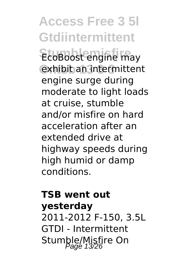**Access Free 3 5l Gtdiintermittent** EcoBoost engine may **Ontsb 13 3 3** exhibit an intermittent engine surge during moderate to light loads at cruise, stumble and/or misfire on hard acceleration after an extended drive at highway speeds during high humid or damp conditions.

# **TSB went out yesterday** 2011-2012 F-150, 3.5L GTDI - Intermittent Stumble/Misfire On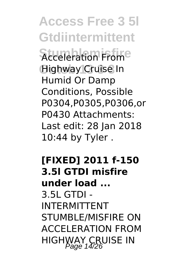**Access Free 3 5l Gtdiintermittent Acceleration Frome Ontsb 13 3 3** Highway Cruise In Humid Or Damp Conditions, Possible P0304,P0305,P0306,or P0430 Attachments: Last edit: 28 Jan 2018 10:44 by Tyler .

### **[FIXED] 2011 f-150 3.5l GTDI misfire under load ...** 3.5L GTDI - INTERMITTENT STUMBLE/MISFIRE ON ACCELERATION FROM HIGHWAY CRUISE IN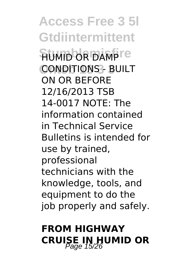**Access Free 3 5l Gtdiintermittent FIUMID OR DAMPTE CONDITIONS - BUILT** ON OR BEFORE 12/16/2013 TSB 14-0017 NOTE: The information contained in Technical Service Bulletins is intended for use by trained, professional technicians with the knowledge, tools, and equipment to do the job properly and safely.

# **FROM HIGHWAY CRUISE IN HUMID OR**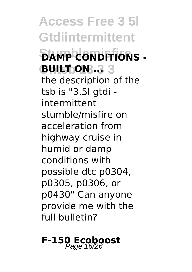**Access Free 3 5l Gtdiintermittent Stumblemisfire DAMP CONDITIONS - BUILT: ON: 3 3** the description of the tsb is "3.5l gtdi intermittent stumble/misfire on acceleration from highway cruise in humid or damp conditions with possible dtc p0304, p0305, p0306, or p0430" Can anyone provide me with the full bulletin?

**F-150 Ecoboost**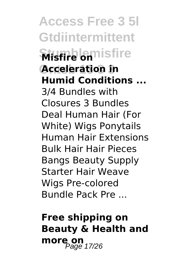**Access Free 3 5l Gtdiintermittent** *<u>Misfire</u>* onlisfire **Acceleration in Humid Conditions ...** 3/4 Bundles with Closures 3 Bundles Deal Human Hair (For White) Wigs Ponytails Human Hair Extensions Bulk Hair Hair Pieces Bangs Beauty Supply Starter Hair Weave Wigs Pre-colored Bundle Pack Pre ...

# **Free shipping on Beauty & Health and more on** 17/26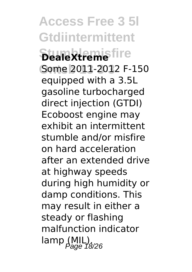**Access Free 3 5l Gtdiintermittent Stumblemisfire** Some 2011-2012 F-150 equipped with a 3.5L gasoline turbocharged direct injection (GTDI) Ecoboost engine may exhibit an intermittent stumble and/or misfire on hard acceleration after an extended drive at highway speeds during high humidity or damp conditions. This may result in either a steady or flashing malfunction indicator  $\text{ lamp (MIL)}_{\text{Page 18/26}}$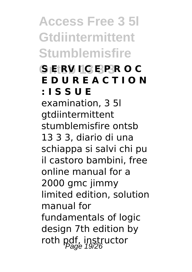**Access Free 3 5l Gtdiintermittent Stumblemisfire**

# **Ontsb 13 3 3 S E RV I C E P R O C E D U R E A C T I O N : I S S U E**

examination, 3 5l gtdiintermittent stumblemisfire ontsb 13 3 3, diario di una schiappa si salvi chi pu il castoro bambini, free online manual for a 2000 gmc jimmy limited edition, solution manual for fundamentals of logic design 7th edition by roth pdf, instructor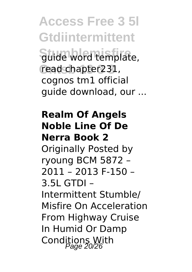**Access Free 3 5l Gtdiintermittent** Stude word template, read chapter231, cognos tm1 official guide download, our ...

### **Realm Of Angels Noble Line Of De Nerra Book 2**

Originally Posted by ryoung BCM 5872 – 2011 – 2013 F-150 – 3.5L GTDI – Intermittent Stumble/ Misfire On Acceleration From Highway Cruise In Humid Or Damp Conditions With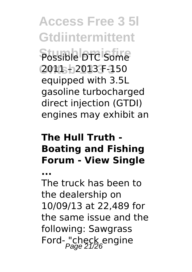**Access Free 3 5l Gtdiintermittent** Possible DTC Some **Ontsb 13 3 3** 2011 – 2013 F-150 equipped with 3.5L gasoline turbocharged direct injection (GTDI) engines may exhibit an

# **The Hull Truth - Boating and Fishing Forum - View Single**

**...** The truck has been to the dealership on 10/09/13 at 22,489 for the same issue and the following: Sawgrass Ford- "check engine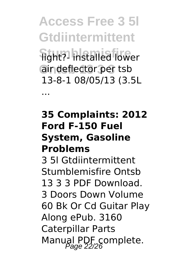**Access Free 3 5l Gtdiintermittent Stumblemisfire** light?- installed lower air deflector per tsb 13-8-1 08/05/13 (3.5L

...

#### **35 Complaints: 2012 Ford F-150 Fuel System, Gasoline Problems**

3 5l Gtdiintermittent Stumblemisfire Ontsb 13 3 3 PDF Download. 3 Doors Down Volume 60 Bk Or Cd Guitar Play Along ePub. 3160 Caterpillar Parts Manual PDF complete.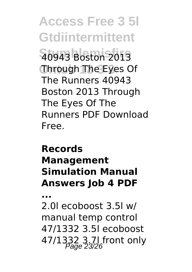**Access Free 3 5l Gtdiintermittent Stumblemisfire** 40943 Boston 2013 **Ontsb 13 3 3** Through The Eyes Of The Runners 40943 Boston 2013 Through The Eyes Of The Runners PDF Download Free.

### **Records Management Simulation Manual Answers Job 4 PDF**

**...**

2.0l ecoboost 3.5l w/ manual temp control 47/1332 3.5l ecoboost 47/1332 3.7l front only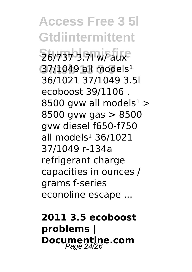**Access Free 3 5l Gtdiintermittent Stumblemisfire** 26/737 3.7l w/ aux 37/1049 all models<sup>1</sup> 36/1021 37/1049 3.5l ecoboost 39/1106 . 8500 gvw all models<sup>1</sup> > 8500 gvw gas > 8500 gvw diesel f650-f750 all models $136/1021$ 37/1049 r-134a refrigerant charge capacities in ounces / grams f-series econoline escape ...

**2011 3.5 ecoboost problems | Documentine.com** Page 24/26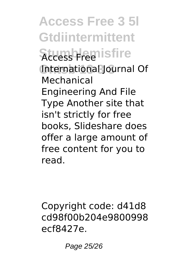**Access Free 3 5l Gtdiintermittent Stumblemisfire** International Journal Of Mechanical Engineering And File Type Another site that isn't strictly for free books, Slideshare does offer a large amount of free content for you to read.

Copyright code: d41d8 cd98f00b204e9800998 ecf8427e.

Page 25/26